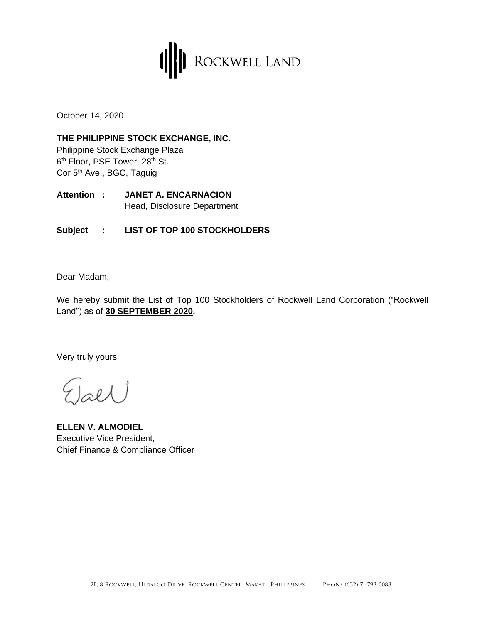

October 14, 2020

**THE PHILIPPINE STOCK EXCHANGE, INC.** Philippine Stock Exchange Plaza 6<sup>th</sup> Floor, PSE Tower, 28<sup>th</sup> St. Cor 5<sup>th</sup> Ave., BGC, Taguig

**Attention : JANET A. ENCARNACION** Head, Disclosure Department

**Subject : LIST OF TOP 100 STOCKHOLDERS**

Dear Madam,

We hereby submit the List of Top 100 Stockholders of Rockwell Land Corporation ("Rockwell Land") as of **30 SEPTEMBER 2020.**

Very truly yours,

j<sub>æld</sub>

**ELLEN V. ALMODIEL**  Executive Vice President, Chief Finance & Compliance Officer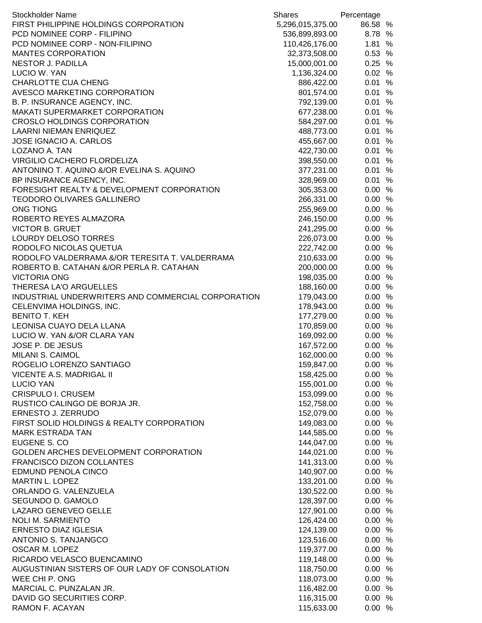| <b>Stockholder Name</b>                            | <b>Shares</b>    | Percentage |  |
|----------------------------------------------------|------------------|------------|--|
| FIRST PHILIPPINE HOLDINGS CORPORATION              | 5,296,015,375.00 | 86.58 %    |  |
| PCD NOMINEE CORP - FILIPINO                        | 536,899,893.00   | 8.78 %     |  |
| PCD NOMINEE CORP - NON-FILIPINO                    | 110,426,176.00   | 1.81 %     |  |
| <b>MANTES CORPORATION</b>                          | 32,373,508.00    | 0.53 %     |  |
| <b>NESTOR J. PADILLA</b>                           | 15,000,001.00    | 0.25%      |  |
| LUCIO W. YAN                                       | 1,136,324.00     | 0.02 %     |  |
| <b>CHARLOTTE CUA CHENG</b>                         | 886,422.00       | 0.01 %     |  |
| AVESCO MARKETING CORPORATION                       | 801,574.00       | 0.01 %     |  |
| B. P. INSURANCE AGENCY, INC.                       | 792,139.00       | 0.01 %     |  |
| MAKATI SUPERMARKET CORPORATION                     | 677,238.00       | 0.01 %     |  |
| <b>CROSLO HOLDINGS CORPORATION</b>                 | 584,297.00       | 0.01%      |  |
| <b>LAARNI NIEMAN ENRIQUEZ</b>                      | 488,773.00       | 0.01 %     |  |
| JOSE IGNACIO A. CARLOS                             | 455,667.00       | 0.01 %     |  |
| LOZANO A. TAN                                      | 422,730.00       | 0.01 %     |  |
| VIRGILIO CACHERO FLORDELIZA                        | 398,550.00       | 0.01%      |  |
| ANTONINO T. AQUINO &/OR EVELINA S. AQUINO          | 377,231.00       | 0.01%      |  |
| BP INSURANCE AGENCY, INC.                          | 328,969.00       | 0.01 %     |  |
| FORESIGHT REALTY & DEVELOPMENT CORPORATION         | 305,353.00       | 0.00%      |  |
| <b>TEODORO OLIVARES GALLINERO</b>                  | 266,331.00       | 0.00%      |  |
| <b>ONG TIONG</b>                                   | 255,969.00       | 0.00%      |  |
| ROBERTO REYES ALMAZORA                             | 246,150.00       | 0.00%      |  |
| <b>VICTOR B. GRUET</b>                             | 241,295.00       | 0.00%      |  |
| <b>LOURDY DELOSO TORRES</b>                        | 226,073.00       | 0.00%      |  |
| RODOLFO NICOLAS QUETUA                             | 222,742.00       | 0.00%      |  |
| RODOLFO VALDERRAMA &/OR TERESITA T. VALDERRAMA     | 210,633.00       | 0.00%      |  |
| ROBERTO B. CATAHAN &/OR PERLA R. CATAHAN           | 200,000.00       | 0.00%      |  |
| <b>VICTORIA ONG</b>                                | 198,035.00       | 0.00%      |  |
| THERESA LA'O ARGUELLES                             | 188,160.00       | 0.00%      |  |
| INDUSTRIAL UNDERWRITERS AND COMMERCIAL CORPORATION | 179,043.00       | 0.00%      |  |
| CELENVIMA HOLDINGS, INC.                           | 178,943.00       | 0.00%      |  |
| <b>BENITO T. KEH</b>                               | 177,279.00       | 0.00%      |  |
| LEONISA CUAYO DELA LLANA                           | 170,859.00       | 0.00%      |  |
| LUCIO W. YAN &/OR CLARA YAN                        | 169,092.00       | 0.00%      |  |
| JOSE P. DE JESUS                                   | 167,572.00       | 0.00%      |  |
| MILANI S. CAIMOL                                   | 162,000.00       | 0.00%      |  |
| ROGELIO LORENZO SANTIAGO                           | 159,847.00       | 0.00%      |  |
| VICENTE A.S. MADRIGAL II                           | 158,425.00       | 0.00%      |  |
| <b>LUCIO YAN</b>                                   | 155,001.00       | 0.00 %     |  |
| <b>CRISPULO I. CRUSEM</b>                          | 153,099.00       | 0.00%      |  |
| RUSTICO CALINGO DE BORJA JR.                       | 152,758.00       | 0.00%      |  |
| ERNESTO J. ZERRUDO                                 | 152,079.00       | 0.00%      |  |
| FIRST SOLID HOLDINGS & REALTY CORPORATION          | 149,083.00       | 0.00%      |  |
| <b>MARK ESTRADA TAN</b>                            | 144,585.00       | 0.00%      |  |
| EUGENE S. CO                                       | 144,047.00       | 0.00%      |  |
| GOLDEN ARCHES DEVELOPMENT CORPORATION              | 144,021.00       | 0.00%      |  |
| FRANCISCO DIZON COLLANTES                          | 141,313.00       | 0.00%      |  |
| <b>EDMUND PENOLA CINCO</b>                         | 140,907.00       | 0.00%      |  |
| <b>MARTIN L. LOPEZ</b>                             | 133,201.00       | 0.00%      |  |
| ORLANDO G. VALENZUELA                              | 130,522.00       | 0.00%      |  |
| SEGUNDO D. GAMOLO                                  | 128,397.00       | 0.00%      |  |
| LAZARO GENEVEO GELLE                               | 127,901.00       | 0.00%      |  |
| <b>NOLI M. SARMIENTO</b>                           | 126,424.00       | 0.00%      |  |
| <b>ERNESTO DIAZ IGLESIA</b>                        | 124,139.00       | 0.00%      |  |
| ANTONIO S. TANJANGCO                               | 123,516.00       | 0.00%      |  |
| OSCAR M. LOPEZ                                     | 119,377.00       | 0.00%      |  |
| RICARDO VELASCO BUENCAMINO                         | 119,148.00       | 0.00%      |  |
| AUGUSTINIAN SISTERS OF OUR LADY OF CONSOLATION     | 118,750.00       | 0.00%      |  |
| WEE CHI P. ONG                                     | 118,073.00       | 0.00%      |  |
| MARCIAL C. PUNZALAN JR.                            |                  |            |  |
|                                                    | 116,482.00       | 0.00%      |  |
| DAVID GO SECURITIES CORP.                          | 116,315.00       | 0.00%      |  |
| RAMON F. ACAYAN                                    | 115,633.00       | 0.00%      |  |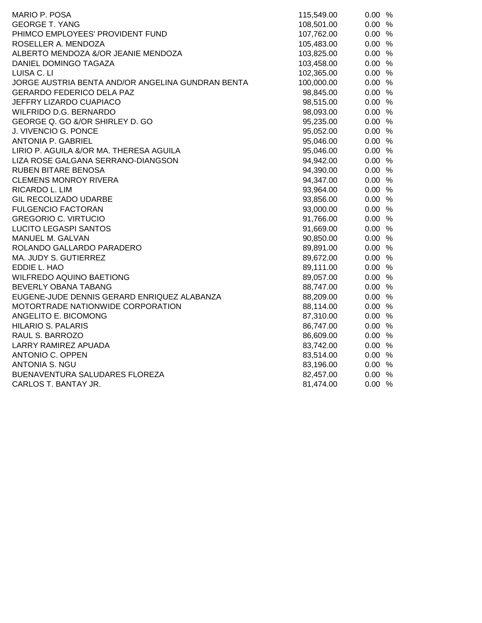| MARIO P. POSA                                     | 115,549.00 | 0.00%  |
|---------------------------------------------------|------------|--------|
| <b>GEORGE T. YANG</b>                             | 108,501.00 | 0.00%  |
| PHIMCO EMPLOYEES' PROVIDENT FUND                  | 107,762.00 | 0.00 % |
| ROSELLER A. MENDOZA                               | 105,483.00 | 0.00 % |
| ALBERTO MENDOZA &/OR JEANIE MENDOZA               | 103,825.00 | 0.00%  |
| DANIEL DOMINGO TAGAZA                             | 103,458.00 | 0.00%  |
| LUISA C. LI                                       | 102,365.00 | 0.00%  |
| JORGE AUSTRIA BENTA AND/OR ANGELINA GUNDRAN BENTA | 100,000.00 | 0.00%  |
| <b>GERARDO FEDERICO DELA PAZ</b>                  | 98,845.00  | 0.00%  |
| JEFFRY LIZARDO CUAPIACO                           | 98,515.00  | 0.00%  |
| WILFRIDO D.G. BERNARDO                            | 98,093.00  | 0.00%  |
| GEORGE Q. GO &/OR SHIRLEY D. GO                   | 95,235.00  | 0.00%  |
| J. VIVENCIO G. PONCE                              | 95,052.00  | 0.00%  |
| ANTONIA P. GABRIEL                                | 95,046.00  | 0.00%  |
| LIRIO P. AGUILA &/OR MA. THERESA AGUILA           | 95,046.00  | 0.00 % |
| LIZA ROSE GALGANA SERRANO-DIANGSON                | 94,942.00  | 0.00%  |
| RUBEN BITARE BENOSA                               | 94,390.00  | 0.00 % |
| <b>CLEMENS MONROY RIVERA</b>                      | 94,347.00  | 0.00%  |
| RICARDO L. LIM                                    | 93,964.00  | 0.00%  |
| GIL RECOLIZADO UDARBE                             | 93,856.00  | 0.00%  |
| <b>FULGENCIO FACTORAN</b>                         | 93,000.00  | 0.00%  |
| <b>GREGORIO C. VIRTUCIO</b>                       | 91,766.00  | 0.00%  |
| <b>LUCITO LEGASPI SANTOS</b>                      | 91,669.00  | 0.00%  |
| MANUEL M. GALVAN                                  | 90,850.00  | 0.00%  |
| ROLANDO GALLARDO PARADERO                         | 89,891.00  | 0.00%  |
| MA. JUDY S. GUTIERREZ                             | 89,672.00  | 0.00 % |
| EDDIE L. HAO                                      | 89,111.00  | 0.00 % |
| <b>WILFREDO AQUINO BAETIONG</b>                   | 89,057.00  | 0.00%  |
| BEVERLY OBANA TABANG                              | 88,747.00  | 0.00%  |
| EUGENE-JUDE DENNIS GERARD ENRIQUEZ ALABANZA       | 88,209.00  | 0.00%  |
| MOTORTRADE NATIONWIDE CORPORATION                 | 88,114.00  | 0.00%  |
| ANGELITO E. BICOMONG                              | 87,310.00  | 0.00%  |
| <b>HILARIO S. PALARIS</b>                         | 86,747.00  | 0.00%  |
| RAUL S. BARROZO                                   | 86,609.00  | 0.00%  |
| <b>LARRY RAMIREZ APUADA</b>                       | 83,742.00  | 0.00%  |
| ANTONIO C. OPPEN                                  | 83,514.00  | 0.00%  |
| <b>ANTONIA S. NGU</b>                             | 83,196.00  | 0.00%  |
| BUENAVENTURA SALUDARES FLOREZA                    | 82,457.00  | 0.00%  |
| CARLOS T. BANTAY JR.                              | 81,474.00  | 0.00%  |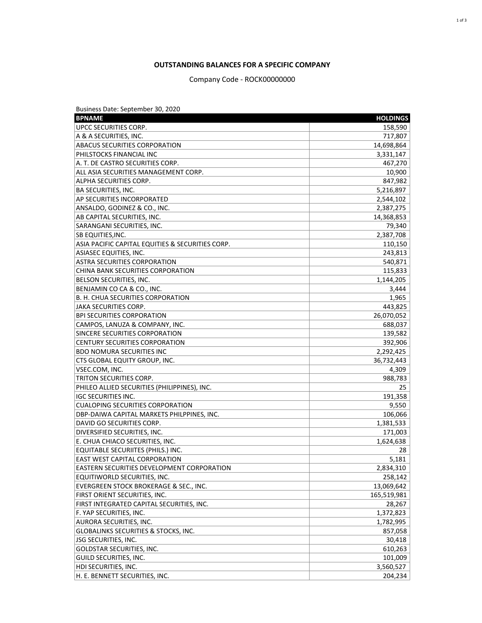## **OUTSTANDING BALANCES FOR A SPECIFIC COMPANY**

Company Code - ROCK00000000

| Business Date: September 30, 2020                                                 |                 |
|-----------------------------------------------------------------------------------|-----------------|
| <b>BPNAME</b>                                                                     | <b>HOLDINGS</b> |
| <b>UPCC SECURITIES CORP.</b>                                                      | 158,590         |
| A & A SECURITIES, INC.                                                            | 717,807         |
| <b>ABACUS SECURITIES CORPORATION</b>                                              | 14,698,864      |
| <b>PHILSTOCKS FINANCIAL INC</b>                                                   | 3,331,147       |
| A. T. DE CASTRO SECURITIES CORP.                                                  | 467,270         |
| ALL ASIA SECURITIES MANAGEMENT CORP.                                              | 10,900          |
| ALPHA SECURITIES CORP.                                                            | 847,982         |
| <b>BA SECURITIES, INC.</b>                                                        | 5,216,897       |
| <b>AP SECURITIES INCORPORATED</b>                                                 | 2,544,102       |
| ANSALDO, GODINEZ & CO., INC.                                                      | 2,387,275       |
| AB CAPITAL SECURITIES, INC.                                                       | 14,368,853      |
| SARANGANI SECURITIES, INC.                                                        | 79,340          |
| <b>SB EQUITIES, INC.</b>                                                          | 2,387,708       |
| ASIA PACIFIC CAPITAL EQUITIES & SECURITIES CORP.                                  | 110,150         |
| ASIASEC EQUITIES, INC.                                                            | 243,813         |
| ASTRA SECURITIES CORPORATION                                                      | 540,871         |
| CHINA BANK SECURITIES CORPORATION                                                 | 115,833         |
| <b>BELSON SECURITIES, INC.</b>                                                    | 1,144,205       |
| BENJAMIN CO CA & CO., INC.                                                        | 3,444           |
| B. H. CHUA SECURITIES CORPORATION                                                 | 1,965           |
| JAKA SECURITIES CORP.                                                             | 443,825         |
| <b>BPI SECURITIES CORPORATION</b>                                                 | 26,070,052      |
| CAMPOS, LANUZA & COMPANY, INC.                                                    | 688,037         |
| SINCERE SECURITIES CORPORATION                                                    | 139,582         |
| <b>CENTURY SECURITIES CORPORATION</b>                                             | 392,906         |
| <b>BDO NOMURA SECURITIES INC</b>                                                  | 2,292,425       |
| CTS GLOBAL EQUITY GROUP, INC.                                                     | 36,732,443      |
| VSEC.COM, INC.                                                                    | 4,309           |
| TRITON SECURITIES CORP.                                                           | 988,783         |
| PHILEO ALLIED SECURITIES (PHILIPPINES), INC.                                      | 25              |
| <b>IGC SECURITIES INC.</b>                                                        | 191,358         |
| <b>CUALOPING SECURITIES CORPORATION</b>                                           | 9,550           |
| DBP-DAIWA CAPITAL MARKETS PHILPPINES, INC.                                        | 106,066         |
| DAVID GO SECURITIES CORP.                                                         | 1,381,533       |
| DIVERSIFIED SECURITIES, INC.                                                      | 171,003         |
| E. CHUA CHIACO SECURITIES, INC.                                                   | 1,624,638       |
| EQUITABLE SECURIITES (PHILS.) INC.                                                | 28              |
| <b>EAST WEST CAPITAL CORPORATION</b>                                              | 5,181           |
| EASTERN SECURITIES DEVELOPMENT CORPORATION                                        | 2,834,310       |
| EQUITIWORLD SECURITIES, INC.                                                      | 258,142         |
| EVERGREEN STOCK BROKERAGE & SEC., INC.                                            | 13,069,642      |
| FIRST ORIENT SECURITIES, INC.                                                     | 165,519,981     |
|                                                                                   | 28,267          |
| FIRST INTEGRATED CAPITAL SECURITIES, INC.                                         |                 |
| F. YAP SECURITIES, INC.                                                           | 1,372,823       |
| <b>AURORA SECURITIES, INC.</b><br><b>GLOBALINKS SECURITIES &amp; STOCKS, INC.</b> | 1,782,995       |
|                                                                                   | 857,058         |
| JSG SECURITIES, INC.                                                              | 30,418          |
| <b>GOLDSTAR SECURITIES, INC.</b>                                                  | 610,263         |
| GUILD SECURITIES, INC.                                                            | 101,009         |
| HDI SECURITIES, INC.                                                              | 3,560,527       |
| H. E. BENNETT SECURITIES, INC.                                                    | 204,234         |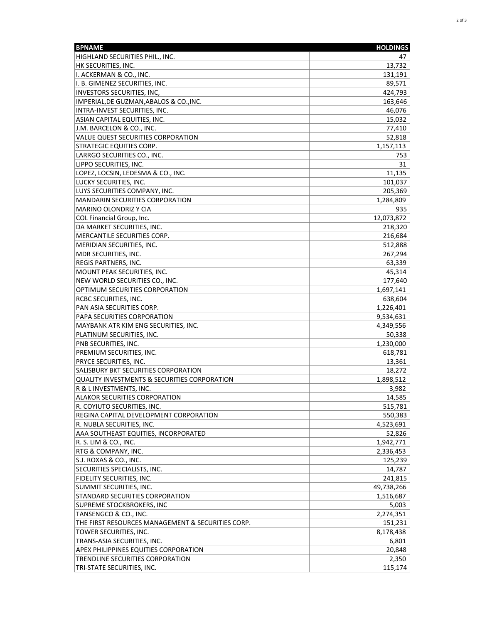| <b>BPNAME</b>                                     | <b>HOLDINGS</b> |
|---------------------------------------------------|-----------------|
| HIGHLAND SECURITIES PHIL., INC.                   | 47              |
| HK SECURITIES, INC.                               | 13,732          |
| II. ACKERMAN & CO., INC.                          | 131,191         |
| I. B. GIMENEZ SECURITIES, INC.                    | 89,571          |
| INVESTORS SECURITIES, INC,                        | 424,793         |
| IMPERIAL, DE GUZMAN, ABALOS & CO., INC.           | 163,646         |
| INTRA-INVEST SECURITIES, INC.                     | 46,076          |
| ASIAN CAPITAL EQUITIES, INC.                      | 15,032          |
| J.M. BARCELON & CO., INC.                         | 77,410          |
| <b>VALUE QUEST SECURITIES CORPORATION</b>         | 52,818          |
| <b>STRATEGIC EQUITIES CORP.</b>                   | 1,157,113       |
| LARRGO SECURITIES CO., INC.                       | 753             |
| LIPPO SECURITIES, INC.                            | 31              |
| LOPEZ, LOCSIN, LEDESMA & CO., INC.                | 11,135          |
| LUCKY SECURITIES, INC.                            | 101,037         |
| LUYS SECURITIES COMPANY, INC.                     | 205,369         |
| MANDARIN SECURITIES CORPORATION                   | 1,284,809       |
| <b>MARINO OLONDRIZ Y CIA</b>                      | 935             |
| COL Financial Group, Inc.                         | 12,073,872      |
| DA MARKET SECURITIES, INC.                        | 218,320         |
| MERCANTILE SECURITIES CORP.                       | 216,684         |
| MERIDIAN SECURITIES, INC.                         | 512,888         |
| MDR SECURITIES, INC.                              | 267,294         |
| <b>REGIS PARTNERS, INC.</b>                       | 63,339          |
| MOUNT PEAK SECURITIES, INC.                       | 45.314          |
| NEW WORLD SECURITIES CO., INC.                    | 177,640         |
| OPTIMUM SECURITIES CORPORATION                    | 1,697,141       |
| <b>RCBC SECURITIES, INC.</b>                      | 638,604         |
| PAN ASIA SECURITIES CORP.                         | 1,226,401       |
| PAPA SECURITIES CORPORATION                       | 9,534,631       |
| MAYBANK ATR KIM ENG SECURITIES, INC.              | 4,349,556       |
| PLATINUM SECURITIES, INC.                         | 50,338          |
| PNB SECURITIES, INC.                              | 1,230,000       |
| PREMIUM SECURITIES, INC.                          | 618,781         |
| <b>PRYCE SECURITIES, INC.</b>                     | 13,361          |
| <b>SALISBURY BKT SECURITIES CORPORATION</b>       | 18,272          |
| QUALITY INVESTMENTS & SECURITIES CORPORATION      | 1,898,512       |
| R & L INVESTMENTS, INC.                           | 3,982           |
| ALAKOR SECURITIES CORPORATION                     | 14,585          |
| R. COYIUTO SECURITIES, INC.                       | 515,781         |
| REGINA CAPITAL DEVELOPMENT CORPORATION            | 550,383         |
| R. NUBLA SECURITIES, INC.                         | 4,523,691       |
| AAA SOUTHEAST EQUITIES, INCORPORATED              | 52,826          |
| R. S. LIM & CO., INC.                             | 1,942,771       |
| <b>RTG &amp; COMPANY, INC.</b>                    | 2,336,453       |
| S.J. ROXAS & CO., INC.                            | 125,239         |
| <b>SECURITIES SPECIALISTS, INC.</b>               | 14,787          |
| FIDELITY SECURITIES, INC.                         | 241,815         |
| SUMMIT SECURITIES, INC.                           | 49,738,266      |
| <b>STANDARD SECURITIES CORPORATION</b>            | 1,516,687       |
| SUPREME STOCKBROKERS, INC                         | 5,003           |
| TANSENGCO & CO., INC.                             | 2,274,351       |
| THE FIRST RESOURCES MANAGEMENT & SECURITIES CORP. | 151,231         |
| TOWER SECURITIES, INC.                            | 8,178,438       |
| TRANS-ASIA SECURITIES, INC.                       | 6,801           |
| APEX PHILIPPINES EQUITIES CORPORATION             | 20,848          |
| TRENDLINE SECURITIES CORPORATION                  | 2,350           |
| TRI-STATE SECURITIES, INC.                        | 115,174         |